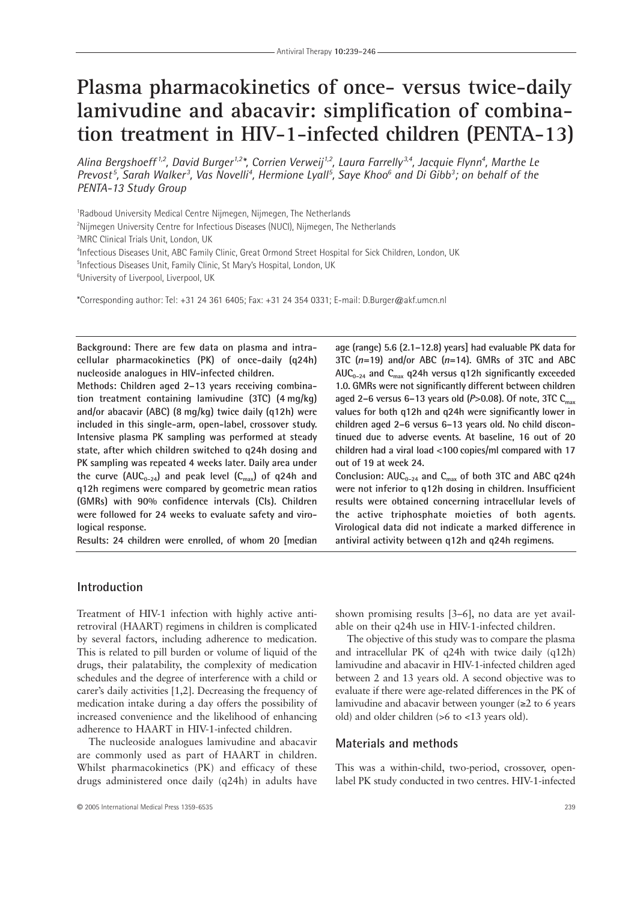# **Plasma pharmacokinetics of once- versus twice-daily lamivudine and abacavir: simplification of combination treatment in HIV-1-infected children (PENTA-13)**

*Alina Bergshoeff 1,2, David Burger1,2\*, Corrien Verweij1,2, Laura Farrelly 3,4, Jacquie Flynn4 , Marthe Le* Prevost<sup>5</sup>, Sarah Walker<sup>3</sup>, Vas Novelli<sup>4</sup>, Hermione Lyall<sup>5</sup>, Saye Khoo<sup>6</sup> and Di Gibb<sup>3</sup>; on behalf of the *PENTA-13 Study Group*

1 Radboud University Medical Centre Nijmegen, Nijmegen, The Netherlands

2 Nijmegen University Centre for Infectious Diseases (NUCI), Nijmegen, The Netherlands

3 MRC Clinical Trials Unit, London, UK

4 Infectious Diseases Unit, ABC Family Clinic, Great Ormond Street Hospital for Sick Children, London, UK

5 Infectious Diseases Unit, Family Clinic, St Mary's Hospital, London, UK

6 University of Liverpool, Liverpool, UK

\*Corresponding author: Tel: +31 24 361 6405; Fax: +31 24 354 0331; E-mail: D.Burger@akf.umcn.nl

**Background: There are few data on plasma and intracellular pharmacokinetics (PK) of once-daily (q24h) nucleoside analogues in HIV-infected children.**

**Methods: Children aged 2–13 years receiving combination treatment containing lamivudine (3TC) (4 mg/kg) and/or abacavir (ABC) (8 mg/kg) twice daily (q12h) were included in this single-arm, open-label, crossover study. Intensive plasma PK sampling was performed at steady state, after which children switched to q24h dosing and PK sampling was repeated 4 weeks later. Daily area under** the curve  $(AUC_{0-24})$  and peak level  $(C_{max})$  of q24h and **q12h regimens were compared by geometric mean ratios (GMRs) with 90% confidence intervals (CIs). Children were followed for 24 weeks to evaluate safety and virological response.**

**Results: 24 children were enrolled, of whom 20 [median**

**age (range) 5.6 (2.1–12.8) years] had evaluable PK data for 3TC (***n***=19) and/or ABC (***n***=14). GMRs of 3TC and ABC AUC0–24 and Cmax q24h versus q12h significantly exceeded 1.0. GMRs were not significantly different between children aged 2–6 versus 6–13 years old (***P***>0.08). Of note, 3TC Cmax values for both q12h and q24h were significantly lower in children aged 2–6 versus 6–13 years old. No child discontinued due to adverse events. At baseline, 16 out of 20 children had a viral load <100 copies/ml compared with 17 out of 19 at week 24.** Conclusion:  $AUC_{0-24}$  and  $C_{max}$  of both 3TC and ABC q24h **were not inferior to q12h dosing in children. Insufficient**

**results were obtained concerning intracellular levels of the active triphosphate moieties of both agents. Virological data did not indicate a marked difference in antiviral activity between q12h and q24h regimens.**

# **Introduction**

Treatment of HIV-1 infection with highly active antiretroviral (HAART) regimens in children is complicated by several factors, including adherence to medication. This is related to pill burden or volume of liquid of the drugs, their palatability, the complexity of medication schedules and the degree of interference with a child or carer's daily activities [1,2]. Decreasing the frequency of medication intake during a day offers the possibility of increased convenience and the likelihood of enhancing adherence to HAART in HIV-1-infected children.

The nucleoside analogues lamivudine and abacavir are commonly used as part of HAART in children. Whilst pharmacokinetics (PK) and efficacy of these drugs administered once daily (q24h) in adults have

shown promising results [3–6], no data are yet available on their q24h use in HIV-1-infected children.

The objective of this study was to compare the plasma and intracellular PK of q24h with twice daily (q12h) lamivudine and abacavir in HIV-1-infected children aged between 2 and 13 years old. A second objective was to evaluate if there were age-related differences in the PK of lamivudine and abacavir between younger (≥2 to 6 years old) and older children (>6 to <13 years old).

# **Materials and methods**

This was a within-child, two-period, crossover, openlabel PK study conducted in two centres. HIV-1-infected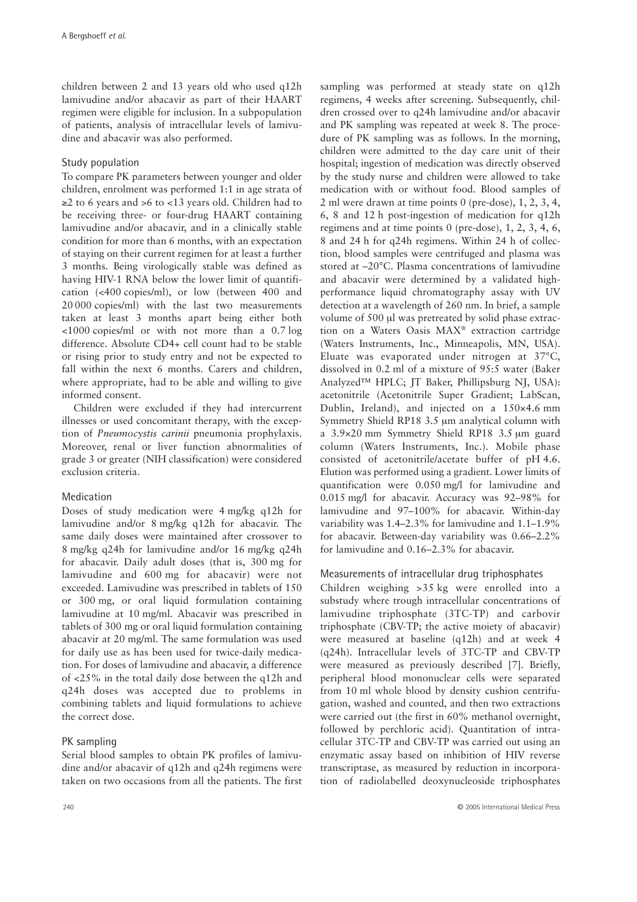children between 2 and 13 years old who used q12h lamivudine and/or abacavir as part of their HAART regimen were eligible for inclusion. In a subpopulation of patients, analysis of intracellular levels of lamivudine and abacavir was also performed.

### Study population

To compare PK parameters between younger and older children, enrolment was performed 1:1 in age strata of ≥2 to 6 years and >6 to <13 years old. Children had to be receiving three- or four-drug HAART containing lamivudine and/or abacavir, and in a clinically stable condition for more than 6 months, with an expectation of staying on their current regimen for at least a further 3 months. Being virologically stable was defined as having HIV-1 RNA below the lower limit of quantification (<400 copies/ml), or low (between 400 and 20 000 copies/ml) with the last two measurements taken at least 3 months apart being either both <1000 copies/ml or with not more than a 0.7 log difference. Absolute CD4+ cell count had to be stable or rising prior to study entry and not be expected to fall within the next 6 months. Carers and children, where appropriate, had to be able and willing to give informed consent.

Children were excluded if they had intercurrent illnesses or used concomitant therapy, with the exception of *Pneumocystis carinii* pneumonia prophylaxis. Moreover, renal or liver function abnormalities of grade 3 or greater (NIH classification) were considered exclusion criteria.

# Medication

Doses of study medication were 4 mg/kg q12h for lamivudine and/or 8 mg/kg q12h for abacavir. The same daily doses were maintained after crossover to 8 mg/kg q24h for lamivudine and/or 16 mg/kg q24h for abacavir. Daily adult doses (that is, 300 mg for lamivudine and 600 mg for abacavir) were not exceeded. Lamivudine was prescribed in tablets of 150 or 300 mg, or oral liquid formulation containing lamivudine at 10 mg/ml. Abacavir was prescribed in tablets of 300 mg or oral liquid formulation containing abacavir at 20 mg/ml. The same formulation was used for daily use as has been used for twice-daily medication. For doses of lamivudine and abacavir, a difference of <25% in the total daily dose between the q12h and q24h doses was accepted due to problems in combining tablets and liquid formulations to achieve the correct dose.

# PK sampling

Serial blood samples to obtain PK profiles of lamivudine and/or abacavir of q12h and q24h regimens were taken on two occasions from all the patients. The first

and PK sampling was repeated at week 8. The procedure of PK sampling was as follows. In the morning, children were admitted to the day care unit of their hospital; ingestion of medication was directly observed by the study nurse and children were allowed to take medication with or without food. Blood samples of 2 ml were drawn at time points 0 (pre-dose), 1, 2, 3, 4, 6, 8 and 12 h post-ingestion of medication for q12h regimens and at time points 0 (pre-dose), 1, 2, 3, 4, 6, 8 and 24 h for q24h regimens. Within 24 h of collection, blood samples were centrifuged and plasma was stored at –20°C. Plasma concentrations of lamivudine and abacavir were determined by a validated highperformance liquid chromatography assay with UV detection at a wavelength of 260 nm. In brief, a sample volume of 500 µl was pretreated by solid phase extraction on a Waters Oasis MAX® extraction cartridge (Waters Instruments, Inc., Minneapolis, MN, USA). Eluate was evaporated under nitrogen at 37°C, dissolved in 0.2 ml of a mixture of 95:5 water (Baker Analyzed™ HPLC; JT Baker, Phillipsburg NJ, USA): acetonitrile (Acetonitrile Super Gradient; LabScan, Dublin, Ireland), and injected on a 150×4.6 mm Symmetry Shield RP18 3.5 µm analytical column with a 3.9×20 mm Symmetry Shield RP18 3.5 µm guard column (Waters Instruments, Inc.). Mobile phase consisted of acetonitrile/acetate buffer of pH 4.6. Elution was performed using a gradient. Lower limits of quantification were 0.050 mg/l for lamivudine and 0.015 mg/l for abacavir. Accuracy was 92–98% for lamivudine and 97–100% for abacavir. Within-day variability was 1.4–2.3% for lamivudine and 1.1–1.9% for abacavir. Between-day variability was 0.66–2.2% for lamivudine and 0.16–2.3% for abacavir. Measurements of intracellular drug triphosphates

sampling was performed at steady state on q12h regimens, 4 weeks after screening. Subsequently, children crossed over to q24h lamivudine and/or abacavir

Children weighing >35 kg were enrolled into a substudy where trough intracellular concentrations of lamivudine triphosphate (3TC-TP) and carbovir triphosphate (CBV-TP; the active moiety of abacavir) were measured at baseline (q12h) and at week 4 (q24h). Intracellular levels of 3TC-TP and CBV-TP were measured as previously described [7]. Briefly, peripheral blood mononuclear cells were separated from 10 ml whole blood by density cushion centrifugation, washed and counted, and then two extractions were carried out (the first in 60% methanol overnight, followed by perchloric acid). Quantitation of intracellular 3TC-TP and CBV-TP was carried out using an enzymatic assay based on inhibition of HIV reverse transcriptase, as measured by reduction in incorporation of radiolabelled deoxynucleoside triphosphates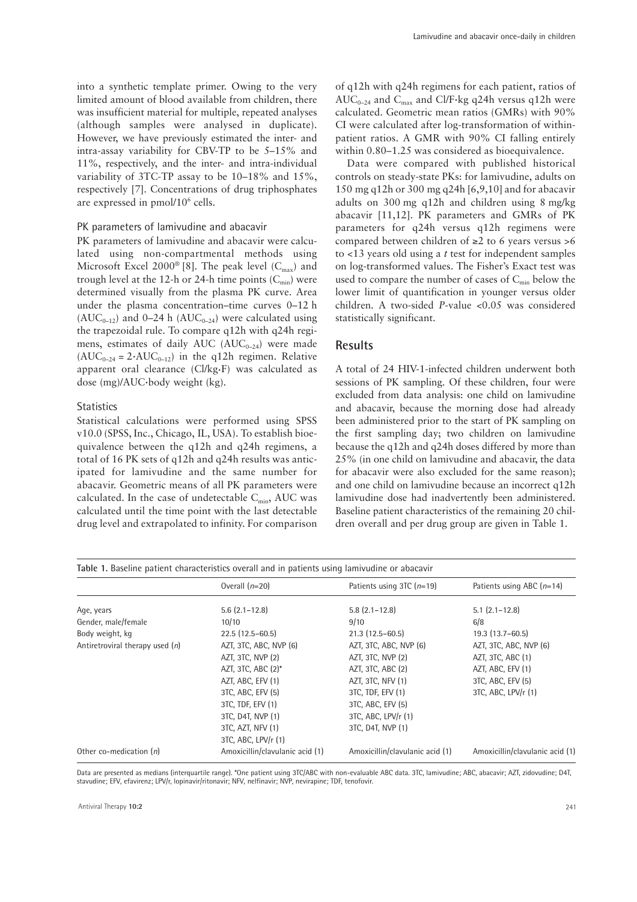into a synthetic template primer. Owing to the very limited amount of blood available from children, there was insufficient material for multiple, repeated analyses (although samples were analysed in duplicate). However, we have previously estimated the inter- and intra-assay variability for CBV-TP to be 5–15% and 11%, respectively, and the inter- and intra-individual variability of 3TC-TP assay to be 10–18% and 15%, respectively [7]. Concentrations of drug triphosphates are expressed in pmol/10<sup>6</sup> cells.

#### PK parameters of lamivudine and abacavir

PK parameters of lamivudine and abacavir were calculated using non-compartmental methods using Microsoft Excel 2000<sup>®</sup> [8]. The peak level  $(C_{\text{max}})$  and trough level at the 12-h or 24-h time points  $(C_{\text{min}})$  were determined visually from the plasma PK curve. Area under the plasma concentration–time curves 0–12 h  $(AUC_{0-12})$  and 0–24 h  $(AUC_{0-24})$  were calculated using the trapezoidal rule. To compare q12h with q24h regimens, estimates of daily AUC ( $AUC_{0-24}$ ) were made  $(AUC_{0-24} = 2 \cdot AUC_{0-12})$  in the q12h regimen. Relative apparent oral clearance (Cl/kg·F) was calculated as dose (mg)/AUC·body weight (kg).

#### **Statistics**

Statistical calculations were performed using SPSS v10.0 (SPSS, Inc., Chicago, IL, USA). To establish bioequivalence between the q12h and q24h regimens, a total of 16 PK sets of q12h and q24h results was anticipated for lamivudine and the same number for abacavir. Geometric means of all PK parameters were calculated. In the case of undetectable  $C_{\text{min}}$ , AUC was calculated until the time point with the last detectable drug level and extrapolated to infinity. For comparison

of q12h with q24h regimens for each patient, ratios of AUC<sub>0–24</sub> and C<sub>max</sub> and Cl/F·kg q24h versus q12h were calculated. Geometric mean ratios (GMRs) with 90% CI were calculated after log-transformation of withinpatient ratios. A GMR with 90% CI falling entirely within 0.80–1.25 was considered as bioequivalence.

Data were compared with published historical controls on steady-state PKs: for lamivudine, adults on 150 mg q12h or 300 mg q24h [6,9,10] and for abacavir adults on 300 mg q12h and children using 8 mg/kg abacavir [11,12]. PK parameters and GMRs of PK parameters for q24h versus q12h regimens were compared between children of ≥2 to 6 years versus >6 to <13 years old using a *t* test for independent samples on log-transformed values. The Fisher's Exact test was used to compare the number of cases of  $C_{\text{min}}$  below the lower limit of quantification in younger versus older children. A two-sided *P*-value <0.05 was considered statistically significant.

### **Results**

A total of 24 HIV-1-infected children underwent both sessions of PK sampling. Of these children, four were excluded from data analysis: one child on lamivudine and abacavir, because the morning dose had already been administered prior to the start of PK sampling on the first sampling day; two children on lamivudine because the q12h and q24h doses differed by more than 25% (in one child on lamivudine and abacavir, the data for abacavir were also excluded for the same reason); and one child on lamivudine because an incorrect q12h lamivudine dose had inadvertently been administered. Baseline patient characteristics of the remaining 20 children overall and per drug group are given in Table 1.

| Table 1. Baseline patient characteristics overall and in patients using lamivudine or abacavir |                                 |                                 |                                 |  |  |  |
|------------------------------------------------------------------------------------------------|---------------------------------|---------------------------------|---------------------------------|--|--|--|
|                                                                                                | Overall $(n=20)$                | Patients using 3TC $(n=19)$     | Patients using ABC $(n=14)$     |  |  |  |
| Age, years                                                                                     | $5.6$ $(2.1 - 12.8)$            | $5.8$ $(2.1 - 12.8)$            | $5.1$ $(2.1 - 12.8)$            |  |  |  |
| Gender, male/female                                                                            | 10/10                           | 9/10                            | 6/8                             |  |  |  |
| Body weight, kg                                                                                | $22.5(12.5-60.5)$               | $21.3(12.5-60.5)$               | $19.3(13.7-60.5)$               |  |  |  |
| Antiretroviral therapy used $(n)$                                                              | AZT, 3TC, ABC, NVP (6)          | AZT, 3TC, ABC, NVP (6)          | AZT, 3TC, ABC, NVP (6)          |  |  |  |
|                                                                                                | AZT, 3TC, NVP (2)               | AZT, 3TC, NVP (2)               | AZT, 3TC, ABC (1)               |  |  |  |
|                                                                                                | AZT, 3TC, ABC $(2)^*$           | AZT, 3TC, ABC (2)               | AZT, ABC, EFV (1)               |  |  |  |
|                                                                                                | AZT, ABC, EFV (1)               | AZT, 3TC, NFV (1)               | 3TC, ABC, EFV (5)               |  |  |  |
|                                                                                                | 3TC, ABC, EFV (5)               | 3TC, TDF, EFV (1)               | 3TC, ABC, LPV/r (1)             |  |  |  |
|                                                                                                | 3TC, TDF, EFV (1)               | 3TC, ABC, EFV (5)               |                                 |  |  |  |
|                                                                                                | 3TC, D4T, NVP (1)               | 3TC, ABC, LPV/r (1)             |                                 |  |  |  |
|                                                                                                | 3TC, AZT, NFV (1)               | 3TC, D4T, NVP (1)               |                                 |  |  |  |
|                                                                                                | 3TC, ABC, LPV/r (1)             |                                 |                                 |  |  |  |
| Other co-medication $(n)$                                                                      | Amoxicillin/clavulanic acid (1) | Amoxicillin/clavulanic acid (1) | Amoxicillin/clavulanic acid (1) |  |  |  |

Data are presented as medians (interquartile range). \*One patient using 3TC/ABC with non-evaluable ABC data. 3TC, lamivudine; ABC, abacavir; AZT, zidovudine; D4T, stavudine; EFV, efavirenz; LPV/r, lopinavir/ritonavir; NFV, nelfinavir; NVP, nevirapine; TDF, tenofovir.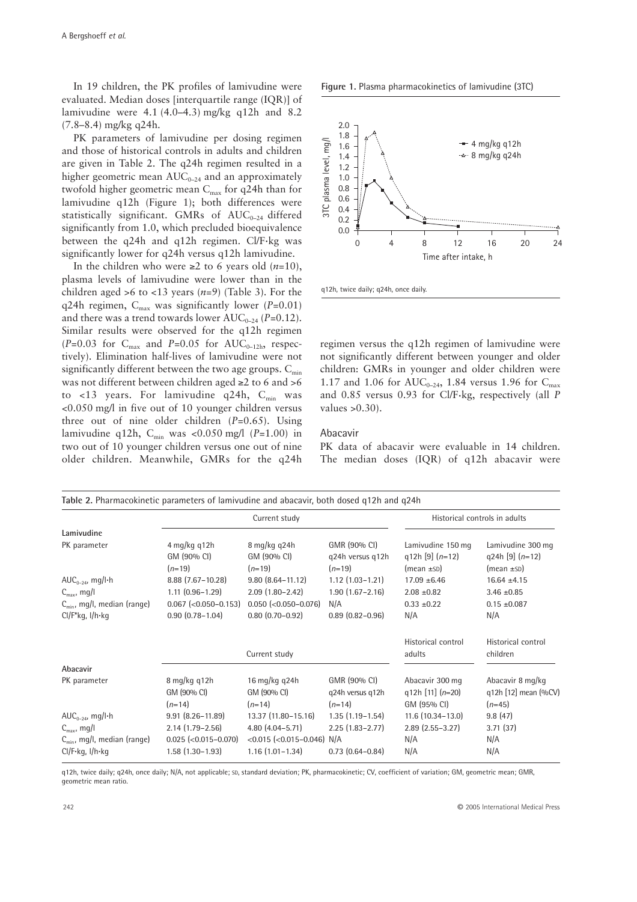In 19 children, the PK profiles of lamivudine were evaluated. Median doses [interquartile range (IQR)] of lamivudine were 4.1 (4.0–4.3) mg/kg q12h and 8.2 (7.8–8.4) mg/kg q24h.

PK parameters of lamivudine per dosing regimen and those of historical controls in adults and children are given in Table 2. The q24h regimen resulted in a higher geometric mean  $AUC_{0-24}$  and an approximately twofold higher geometric mean  $C_{\text{max}}$  for q24h than for lamivudine q12h (Figure 1); both differences were statistically significant. GMRs of  $AUC_{0-24}$  differed significantly from 1.0, which precluded bioequivalence between the q24h and q12h regimen. Cl/F·kg was significantly lower for q24h versus q12h lamivudine.

In the children who were ≥2 to 6 years old (*n*=10), plasma levels of lamivudine were lower than in the children aged >6 to <13 years  $(n=9)$  (Table 3). For the q24h regimen,  $C_{\text{max}}$  was significantly lower ( $P=0.01$ ) and there was a trend towards lower  $AUC_{0-24}$  (*P*=0.12). Similar results were observed for the q12h regimen  $(P=0.03$  for C<sub>max</sub> and *P*=0.05 for AUC<sub>0-12h</sub>, respectively). Elimination half-lives of lamivudine were not significantly different between the two age groups.  $C_{\text{min}}$ was not different between children aged ≥2 to 6 and >6 to <13 years. For lamivudine  $q24h$ ,  $C_{min}$  was <0.050 mg/l in five out of 10 younger children versus three out of nine older children (*P*=0.65). Using lamivudine q12h, C<sub>min</sub> was <0.050 mg/l (P=1.00) in two out of 10 younger children versus one out of nine older children. Meanwhile, GMRs for the q24h





q12h, twice daily; q24h, once daily.

regimen versus the q12h regimen of lamivudine were not significantly different between younger and older children: GMRs in younger and older children were 1.17 and 1.06 for AUC<sub>0-24</sub>, 1.84 versus 1.96 for C<sub>max</sub> and 0.85 versus 0.93 for Cl/F·kg, respectively (all *P* values  $>0.30$ ).

#### Abacavir

PK data of abacavir were evaluable in 14 children. The median doses (IQR) of q12h abacavir were

| Table 2. Pharmacokinetic parameters of lamivudine and abacavir, both dosed q12h and q24h |                                         |                                            |                                              |                                                             |                                                           |  |
|------------------------------------------------------------------------------------------|-----------------------------------------|--------------------------------------------|----------------------------------------------|-------------------------------------------------------------|-----------------------------------------------------------|--|
|                                                                                          | Current study                           |                                            |                                              | Historical controls in adults                               |                                                           |  |
| Lamivudine                                                                               |                                         |                                            |                                              |                                                             |                                                           |  |
| PK parameter                                                                             | 4 mg/kg q12h<br>GM (90% CI)<br>$(n=19)$ | 8 mg/kg q24h<br>GM (90% CI)<br>$(n=19)$    | GMR (90% CI)<br>g24h versus g12h<br>$(n=19)$ | Lamivudine 150 mg<br>q12h $[9]$ $(n=12)$<br>$(mean \pm SD)$ | Lamivudine 300 mg<br>q24h [9] $(n=12)$<br>$(mean \pm SD)$ |  |
| AUC <sub>0-24</sub> , mg/l·h                                                             | $8.88$ (7.67-10.28)                     | $9.80$ $(8.64 - 11.12)$                    | $1.12$ $(1.03 - 1.21)$                       | $17.09 \pm 6.46$                                            | $16.64 \pm 4.15$                                          |  |
| $C_{\text{max}}$ , mg/l                                                                  | $1.11(0.96 - 1.29)$                     | $2.09(1.80 - 2.42)$                        | $1.90(1.67 - 2.16)$                          | $2.08 \pm 0.82$                                             | $3.46 \pm 0.85$                                           |  |
| $C_{\min}$ , mg/l, median (range)                                                        | $0.067$ (<0.050-0.153)                  | $0.050$ (< $0.050 - 0.076$ )               | N/A                                          | $0.33 \pm 0.22$                                             | $0.15 \pm 0.087$                                          |  |
| $Cl/F^*$ kg, l/h·kg                                                                      | $0.90(0.78 - 1.04)$                     | $0.80$ $(0.70 - 0.92)$                     | $0.89(0.82 - 0.96)$                          | N/A                                                         | N/A                                                       |  |
|                                                                                          |                                         | Current study                              |                                              | Historical control<br>adults                                | Historical control<br>children                            |  |
| Abacavir                                                                                 |                                         |                                            |                                              |                                                             |                                                           |  |
| PK parameter                                                                             | 8 mg/kg q12h<br>GM (90% CI)<br>$(n=14)$ | $16$ mg/kg g24h<br>GM (90% CI)<br>$(n=14)$ | GMR (90% CI)<br>q24h versus q12h<br>$(n=14)$ | Abacavir 300 mg<br>q12h [11] $(n=20)$<br>GM (95% CI)        | Abacavir 8 mg/kg<br>q12h [12] mean $(\%CV)$<br>$(n=45)$   |  |
| AUC <sub>0-24</sub> , mg/l $\cdot$ h                                                     | $9.91(8.26-11.89)$                      | 13.37 (11.80-15.16)                        | $1.35(1.19-1.54)$                            | $11.6(10.34-13.0)$                                          | 9.8(47)                                                   |  |
| $C_{\text{max}}$ , mg/l                                                                  | $2.14(1.79-2.56)$                       | $4.80(4.04 - 5.71)$                        | $2.25(1.83 - 2.77)$                          | $2.89$ $(2.55 - 3.27)$                                      | 3.71(37)                                                  |  |
| C <sub>min</sub> , mg/l, median (range)                                                  | $0.025$ (< $0.015 - 0.070$ )            | <0.015 (<0.015-0.046) N/A                  |                                              | N/A                                                         | N/A                                                       |  |
| $Cl/F$ -kg, $I/h$ -kg                                                                    | $1.58(1.30-1.93)$                       | $1.16(1.01 - 1.34)$                        | $0.73$ $(0.64 - 0.84)$                       | N/A                                                         | N/A                                                       |  |

q12h, twice daily; q24h, once daily; N/A, not applicable; SD, standard deviation; PK, pharmacokinetic; CV, coefficient of variation; GM, geometric mean; GMR, geometric mean ratio.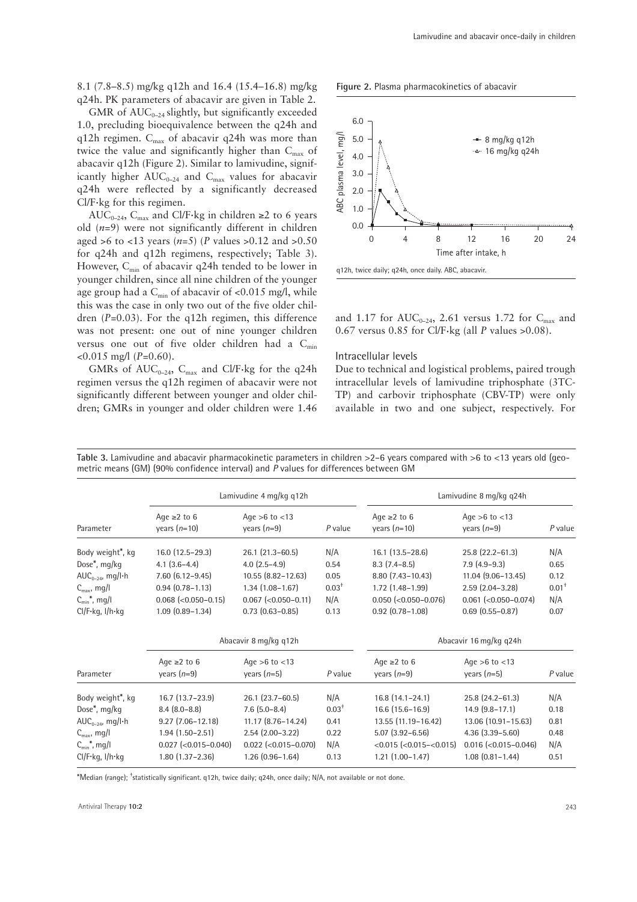8.1 (7.8–8.5) mg/kg q12h and 16.4 (15.4–16.8) mg/kg q24h. PK parameters of abacavir are given in Table 2.

GMR of  $AUC_{0-24}$  slightly, but significantly exceeded 1.0, precluding bioequivalence between the q24h and q12h regimen.  $C_{\text{max}}$  of abacavir q24h was more than twice the value and significantly higher than  $C_{\text{max}}$  of abacavir q12h (Figure 2). Similar to lamivudine, significantly higher  $AUC_{0-24}$  and  $C_{\text{max}}$  values for abacavir q24h were reflected by a significantly decreased Cl/F·kg for this regimen.

AUC<sub>0–24</sub>, C<sub>max</sub> and Cl/F·kg in children ≥2 to 6 years old (*n*=9) were not significantly different in children aged >6 to <13 years (*n*=5) (*P* values >0.12 and >0.50 for q24h and q12h regimens, respectively; Table 3). However,  $C_{\text{min}}$  of abacavir q24h tended to be lower in younger children, since all nine children of the younger age group had a  $C_{\text{min}}$  of abacavir of <0.015 mg/l, while this was the case in only two out of the five older children (*P*=0.03). For the q12h regimen, this difference was not present: one out of nine younger children versus one out of five older children had a  $C_{min}$ <0.015 mg/l (*P*=0.60).

GMRs of  $AUC_{0-24}$ ,  $C_{\text{max}}$  and Cl/F·kg for the q24h regimen versus the q12h regimen of abacavir were not significantly different between younger and older children; GMRs in younger and older children were 1.46

**Figure 2.** Plasma pharmacokinetics of abacavir



and 1.17 for  $AUC_{0-24}$ , 2.61 versus 1.72 for  $C_{\text{max}}$  and 0.67 versus 0.85 for Cl/F·kg (all *P* values >0.08).

#### Intracellular levels

Due to technical and logistical problems, paired trough intracellular levels of lamivudine triphosphate (3TC-TP) and carbovir triphosphate (CBV-TP) were only available in two and one subject, respectively. For

Table 3. Lamivudine and abacavir pharmacokinetic parameters in children >2-6 years compared with >6 to <13 years old (geometric means (GM) (90% confidence interval) and *P* values for differences between GM

|                               | Lamivudine 4 mg/kg q12h             |                                     |          | Lamivudine 8 mg/kg q24h             |                                     |           |  |
|-------------------------------|-------------------------------------|-------------------------------------|----------|-------------------------------------|-------------------------------------|-----------|--|
| Parameter                     | Age $\geq 2$ to 6<br>years $(n=10)$ | Age $>6$ to $<$ 13<br>years $(n=9)$ | P value  | Age $\geq 2$ to 6<br>years $(n=10)$ | Age $>6$ to $<$ 13<br>years $(n=9)$ | $P$ value |  |
| Body weight <sup>*</sup> , kg | $16.0$ (12.5-29.3)                  | $26.1$ $(21.3 - 60.5)$              | N/A      | $16.1(13.5-28.6)$                   | 25.8 (22.2-61.3)                    | N/A       |  |
| Dose $*$ , mg/kg              | $4.1(3.6-4.4)$                      | $4.0$ $(2.5-4.9)$                   | 0.54     | $8.3(7.4-8.5)$                      | $7.9(4.9-9.3)$                      | 0.65      |  |
| AUC <sub>0-24</sub> , mg/l·h  | $7.60(6.12 - 9.45)$                 | $10.55$ $(8.82 - 12.63)$            | 0.05     | $8.80(7.43 - 10.43)$                | $11.04$ $(9.06 - 13.45)$            | 0.12      |  |
| $C_{\text{max}}$ , mg/l       | $0.94(0.78 - 1.13)$                 | $1.34(1.08 - 1.67)$                 | $0.03+$  | $1.72$ $(1.48 - 1.99)$              | $2.59$ $(2.04 - 3.28)$              | $0.01+$   |  |
| $C_{\min}^*$ , mg/l           | $0.068$ (< $0.050 - 0.15$ )         | $0.067$ (< $0.050 - 0.11$ )         | N/A      | $0.050$ (<0.050-0.076)              | $0.061$ (<0.050-0.074)              | N/A       |  |
| Cl/F·kg, I/h·kg               | $1.09$ $(0.89 - 1.34)$              | $0.73$ $(0.63 - 0.85)$              | 0.13     | $0.92$ $(0.78 - 1.08)$              | $0.69$ $(0.55 - 0.87)$              | 0.07      |  |
|                               | Abacavir 8 mg/kg q12h               |                                     |          | Abacavir 16 mg/kg q24h              |                                     |           |  |
| Parameter                     | Age $\geq 2$ to 6<br>years $(n=9)$  | Age $>6$ to $< 13$<br>years $(n=5)$ | P value  | Age $\geq 2$ to 6<br>years $(n=9)$  | Age $>6$ to $<$ 13<br>years $(n=5)$ | P value   |  |
| Body weight <sup>*</sup> , kg | $16.7$ (13.7 – 23.9)                | 26.1 (23.7-60.5)                    | N/A      | $16.8(14.1 - 24.1)$                 | 25.8 (24.2-61.3)                    | N/A       |  |
| Dose*, mg/kg                  | $8.4(8.0-8.8)$                      | $7.6$ (5.0-8.4)                     | $0.03^+$ | $16.6$ (15.6-16.9)                  | $14.9(9.8-17.1)$                    | 0.18      |  |
| AUC <sub>0-24</sub> , mg/l·h  | $9.27$ (7.06-12.18)                 | $11.17$ $(8.76 - 14.24)$            | 0.41     | 13.55 (11.19-16.42)                 | 13.06 (10.91-15.63)                 | 0.81      |  |
| $C_{\text{max}}$ , mg/l       | $1.94(1.50 - 2.51)$                 | $2.54$ (2.00-3.22)                  | 0.22     | $5.07(3.92 - 6.56)$                 | $4.36(3.39 - 5.60)$                 | 0.48      |  |
| $C_{\min}$ *, mg/l            | $0.027$ (< $0.015 - 0.040$ )        | $0.022$ (< $0.015 - 0.070$ )        | N/A      | $< 0.015 (-0.015 - 0.015)$          | $0.016$ (<0.015-0.046)              | N/A       |  |
| Cl/F-kg, I/h-kg               | $1.80(1.37 - 2.36)$                 | $1.26(0.96 - 1.64)$                 | 0.13     | $1.21(1.00-1.47)$                   | $1.08$ $(0.81 - 1.44)$              | 0.51      |  |

\*Median (range); † statistically significant. q12h, twice daily; q24h, once daily; N/A, not available or not done.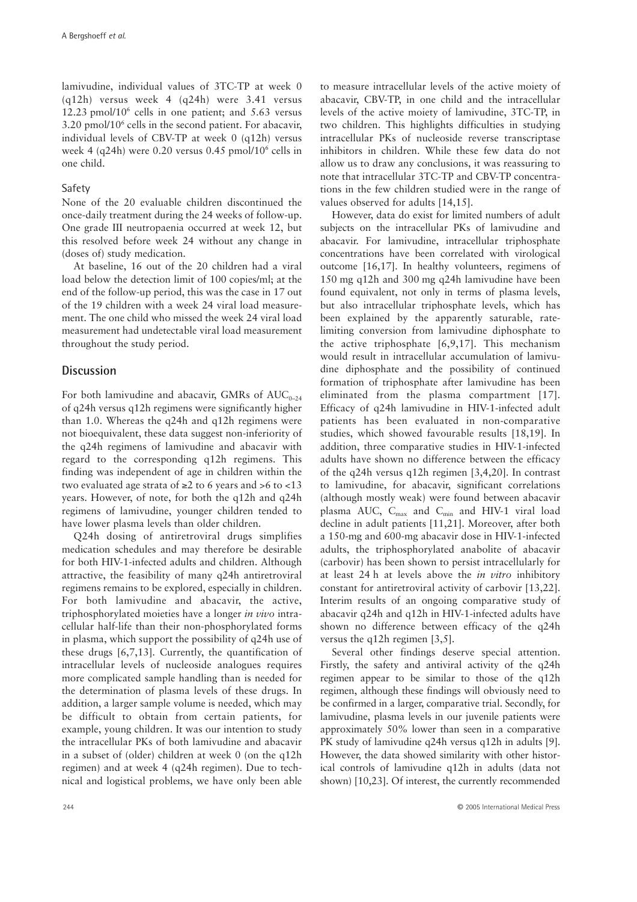lamivudine, individual values of 3TC-TP at week 0 (q12h) versus week 4 (q24h) were 3.41 versus 12.23 pmol/ $10^6$  cells in one patient; and 5.63 versus  $3.20 \text{ pmol}/10^6$  cells in the second patient. For abacavir, individual levels of CBV-TP at week 0 (q12h) versus week 4 (q24h) were 0.20 versus 0.45 pmol/ $10^6$  cells in one child.

#### Safety

None of the 20 evaluable children discontinued the once-daily treatment during the 24 weeks of follow-up. One grade III neutropaenia occurred at week 12, but this resolved before week 24 without any change in (doses of) study medication.

At baseline, 16 out of the 20 children had a viral load below the detection limit of 100 copies/ml; at the end of the follow-up period, this was the case in 17 out of the 19 children with a week 24 viral load measurement. The one child who missed the week 24 viral load measurement had undetectable viral load measurement throughout the study period.

# **Discussion**

For both lamivudine and abacavir, GMRs of  $AUC_{0-24}$ of q24h versus q12h regimens were significantly higher than 1.0. Whereas the q24h and q12h regimens were not bioequivalent, these data suggest non-inferiority of the q24h regimens of lamivudine and abacavir with regard to the corresponding q12h regimens. This finding was independent of age in children within the two evaluated age strata of ≥2 to 6 years and >6 to <13 years. However, of note, for both the q12h and q24h regimens of lamivudine, younger children tended to have lower plasma levels than older children.

Q24h dosing of antiretroviral drugs simplifies medication schedules and may therefore be desirable for both HIV-1-infected adults and children. Although attractive, the feasibility of many q24h antiretroviral regimens remains to be explored, especially in children. For both lamivudine and abacavir, the active, triphosphorylated moieties have a longer *in vivo* intracellular half-life than their non-phosphorylated forms in plasma, which support the possibility of q24h use of these drugs [6,7,13]. Currently, the quantification of intracellular levels of nucleoside analogues requires more complicated sample handling than is needed for the determination of plasma levels of these drugs. In addition, a larger sample volume is needed, which may be difficult to obtain from certain patients, for example, young children. It was our intention to study the intracellular PKs of both lamivudine and abacavir in a subset of (older) children at week 0 (on the q12h regimen) and at week 4 (q24h regimen). Due to technical and logistical problems, we have only been able

to measure intracellular levels of the active moiety of abacavir, CBV-TP, in one child and the intracellular levels of the active moiety of lamivudine, 3TC-TP, in two children. This highlights difficulties in studying intracellular PKs of nucleoside reverse transcriptase inhibitors in children. While these few data do not allow us to draw any conclusions, it was reassuring to note that intracellular 3TC-TP and CBV-TP concentrations in the few children studied were in the range of values observed for adults [14,15].

However, data do exist for limited numbers of adult subjects on the intracellular PKs of lamivudine and abacavir. For lamivudine, intracellular triphosphate concentrations have been correlated with virological outcome [16,17]. In healthy volunteers, regimens of 150 mg q12h and 300 mg q24h lamivudine have been found equivalent, not only in terms of plasma levels, but also intracellular triphosphate levels, which has been explained by the apparently saturable, ratelimiting conversion from lamivudine diphosphate to the active triphosphate [6,9,17]. This mechanism would result in intracellular accumulation of lamivudine diphosphate and the possibility of continued formation of triphosphate after lamivudine has been eliminated from the plasma compartment [17]. Efficacy of q24h lamivudine in HIV-1-infected adult patients has been evaluated in non-comparative studies, which showed favourable results [18,19]. In addition, three comparative studies in HIV-1-infected adults have shown no difference between the efficacy of the q24h versus q12h regimen [3,4,20]. In contrast to lamivudine, for abacavir, significant correlations (although mostly weak) were found between abacavir plasma AUC,  $C_{\text{max}}$  and  $C_{\text{min}}$  and HIV-1 viral load decline in adult patients [11,21]. Moreover, after both a 150-mg and 600-mg abacavir dose in HIV-1-infected adults, the triphosphorylated anabolite of abacavir (carbovir) has been shown to persist intracellularly for at least 24 h at levels above the *in vitro* inhibitory constant for antiretroviral activity of carbovir [13,22]. Interim results of an ongoing comparative study of abacavir q24h and q12h in HIV-1-infected adults have shown no difference between efficacy of the q24h versus the q12h regimen [3,5].

Several other findings deserve special attention. Firstly, the safety and antiviral activity of the q24h regimen appear to be similar to those of the q12h regimen, although these findings will obviously need to be confirmed in a larger, comparative trial. Secondly, for lamivudine, plasma levels in our juvenile patients were approximately 50% lower than seen in a comparative PK study of lamivudine q24h versus q12h in adults [9]. However, the data showed similarity with other historical controls of lamivudine q12h in adults (data not shown) [10,23]. Of interest, the currently recommended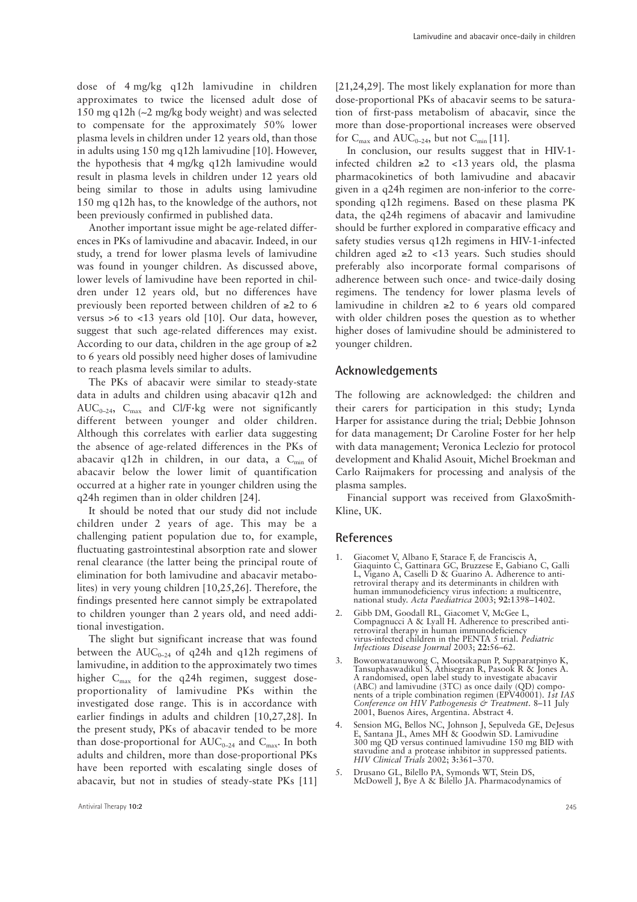dose of 4 mg/kg q12h lamivudine in children approximates to twice the licensed adult dose of 150 mg q12h (∼2 mg/kg body weight) and was selected to compensate for the approximately 50% lower plasma levels in children under 12 years old, than those in adults using 150 mg q12h lamivudine [10]. However, the hypothesis that 4 mg/kg q12h lamivudine would result in plasma levels in children under 12 years old being similar to those in adults using lamivudine 150 mg q12h has, to the knowledge of the authors, not been previously confirmed in published data.

Another important issue might be age-related differences in PKs of lamivudine and abacavir. Indeed, in our study, a trend for lower plasma levels of lamivudine was found in younger children. As discussed above, lower levels of lamivudine have been reported in children under 12 years old, but no differences have previously been reported between children of ≥2 to 6 versus >6 to <13 years old [10]. Our data, however, suggest that such age-related differences may exist. According to our data, children in the age group of  $\geq 2$ to 6 years old possibly need higher doses of lamivudine to reach plasma levels similar to adults.

The PKs of abacavir were similar to steady-state data in adults and children using abacavir q12h and  $AUC_{0-24}$ ,  $C_{max}$  and Cl/F·kg were not significantly different between younger and older children. Although this correlates with earlier data suggesting the absence of age-related differences in the PKs of abacavir q12h in children, in our data, a  $C_{min}$  of abacavir below the lower limit of quantification occurred at a higher rate in younger children using the q24h regimen than in older children [24].

It should be noted that our study did not include children under 2 years of age. This may be a challenging patient population due to, for example, fluctuating gastrointestinal absorption rate and slower renal clearance (the latter being the principal route of elimination for both lamivudine and abacavir metabolites) in very young children [10,25,26]. Therefore, the findings presented here cannot simply be extrapolated to children younger than 2 years old, and need additional investigation.

The slight but significant increase that was found between the  $AUC_{0-24}$  of q24h and q12h regimens of lamivudine, in addition to the approximately two times higher  $C_{\text{max}}$  for the q24h regimen, suggest doseproportionality of lamivudine PKs within the investigated dose range. This is in accordance with earlier findings in adults and children [10,27,28]. In the present study, PKs of abacavir tended to be more than dose-proportional for  $AUC_{0-24}$  and  $C_{\text{max}}$ . In both adults and children, more than dose-proportional PKs have been reported with escalating single doses of abacavir, but not in studies of steady-state PKs [11]

[21,24,29]. The most likely explanation for more than dose-proportional PKs of abacavir seems to be saturation of first-pass metabolism of abacavir, since the more than dose-proportional increases were observed for  $C_{\text{max}}$  and  $AUC_{0-24}$ , but not  $C_{\text{min}}$  [11].

In conclusion, our results suggest that in HIV-1 infected children ≥2 to <13 years old, the plasma pharmacokinetics of both lamivudine and abacavir given in a q24h regimen are non-inferior to the corresponding q12h regimens. Based on these plasma PK data, the q24h regimens of abacavir and lamivudine should be further explored in comparative efficacy and safety studies versus q12h regimens in HIV-1-infected children aged  $\geq 2$  to <13 years. Such studies should preferably also incorporate formal comparisons of adherence between such once- and twice-daily dosing regimens. The tendency for lower plasma levels of lamivudine in children ≥2 to 6 years old compared with older children poses the question as to whether higher doses of lamivudine should be administered to younger children.

# **Acknowledgements**

The following are acknowledged: the children and their carers for participation in this study; Lynda Harper for assistance during the trial; Debbie Johnson for data management; Dr Caroline Foster for her help with data management; Veronica Leclezio for protocol development and Khalid Asouit, Michel Broekman and Carlo Raijmakers for processing and analysis of the plasma samples.

Financial support was received from GlaxoSmith-Kline, UK.

#### **References**

- 1. Giacomet V, Albano F, Starace F, de Franciscis A, Giaquinto C, Gattinara GC, Bruzzese E, Gabiano C, Galli L, Vigano A, Caselli D & Guarino A. Adherence to antiretroviral therapy and its determinants in children with human immunodeficiency virus infection: a multicentre, national study. *Acta Paediatrica* 2003; **92:**1398–1402.
- 2. Gibb DM, Goodall RL, Giacomet V, McGee L, Compagnucci A & Lyall H. Adherence to prescribed antiretroviral therapy in human immunodeficiency virus-infected children in the PENTA 5 trial. *Pediatric Infectious Disease Journal* 2003; **22:**56–62.
- 3. Bowonwatanuwong C, Mootsikapun P, Supparatpinyo K, Tansuphaswadikul S, Athisegran R, Pasook R & Jones A. A randomised, open label study to investigate abacavir (ABC) and lamivudine (3TC) as once daily (QD) components of a triple combination regimen (EPV40001). *1st IAS Conference on HIV Pathogenesis & Treatment*. 8–11 July 2001, Buenos Aires, Argentina. Abstract 4.
- 4. Sension MG, Bellos NC, Johnson J, Sepulveda GE, DeJesus E, Santana JL, Ames MH & Goodwin SD. Lamivudine 300 mg QD versus continued lamivudine 150 mg BID with stavudine and a protease inhibitor in suppressed patients. *HIV Clinical Trials* 2002; **3:**361–370.
- 5. Drusano GL, Bilello PA, Symonds WT, Stein DS, McDowell J, Bye A & Bilello JA. Pharmacodynamics of